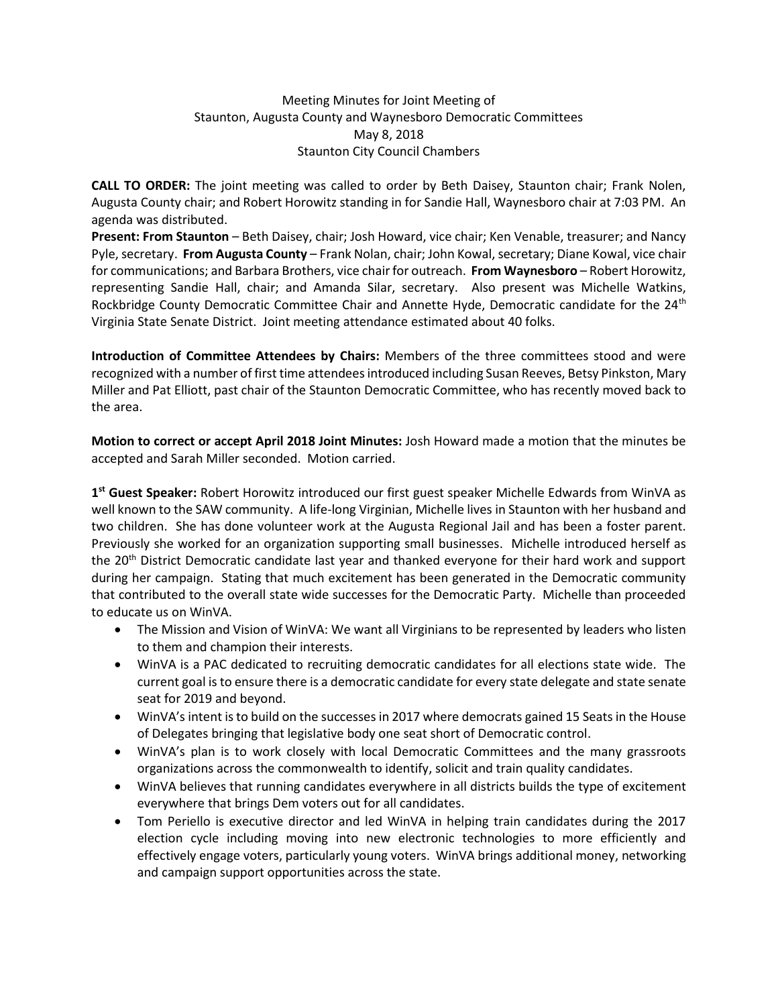## Meeting Minutes for Joint Meeting of Staunton, Augusta County and Waynesboro Democratic Committees May 8, 2018 Staunton City Council Chambers

**CALL TO ORDER:** The joint meeting was called to order by Beth Daisey, Staunton chair; Frank Nolen, Augusta County chair; and Robert Horowitz standing in for Sandie Hall, Waynesboro chair at 7:03 PM. An agenda was distributed.

**Present: From Staunton** – Beth Daisey, chair; Josh Howard, vice chair; Ken Venable, treasurer; and Nancy Pyle, secretary. **From Augusta County** – Frank Nolan, chair; John Kowal, secretary; Diane Kowal, vice chair for communications; and Barbara Brothers, vice chair for outreach. **From Waynesboro** – Robert Horowitz, representing Sandie Hall, chair; and Amanda Silar, secretary. Also present was Michelle Watkins, Rockbridge County Democratic Committee Chair and Annette Hyde, Democratic candidate for the 24<sup>th</sup> Virginia State Senate District. Joint meeting attendance estimated about 40 folks.

**Introduction of Committee Attendees by Chairs:** Members of the three committees stood and were recognized with a number of first time attendees introduced including Susan Reeves, Betsy Pinkston, Mary Miller and Pat Elliott, past chair of the Staunton Democratic Committee, who has recently moved back to the area.

**Motion to correct or accept April 2018 Joint Minutes:** Josh Howard made a motion that the minutes be accepted and Sarah Miller seconded. Motion carried.

**1 st Guest Speaker:** Robert Horowitz introduced our first guest speaker Michelle Edwards from WinVA as well known to the SAW community. A life-long Virginian, Michelle lives in Staunton with her husband and two children. She has done volunteer work at the Augusta Regional Jail and has been a foster parent. Previously she worked for an organization supporting small businesses. Michelle introduced herself as the 20<sup>th</sup> District Democratic candidate last year and thanked everyone for their hard work and support during her campaign. Stating that much excitement has been generated in the Democratic community that contributed to the overall state wide successes for the Democratic Party. Michelle than proceeded to educate us on WinVA.

- The Mission and Vision of WinVA: We want all Virginians to be represented by leaders who listen to them and champion their interests.
- WinVA is a PAC dedicated to recruiting democratic candidates for all elections state wide. The current goal is to ensure there is a democratic candidate for every state delegate and state senate seat for 2019 and beyond.
- WinVA's intent is to build on the successes in 2017 where democrats gained 15 Seats in the House of Delegates bringing that legislative body one seat short of Democratic control.
- WinVA's plan is to work closely with local Democratic Committees and the many grassroots organizations across the commonwealth to identify, solicit and train quality candidates.
- WinVA believes that running candidates everywhere in all districts builds the type of excitement everywhere that brings Dem voters out for all candidates.
- Tom Periello is executive director and led WinVA in helping train candidates during the 2017 election cycle including moving into new electronic technologies to more efficiently and effectively engage voters, particularly young voters. WinVA brings additional money, networking and campaign support opportunities across the state.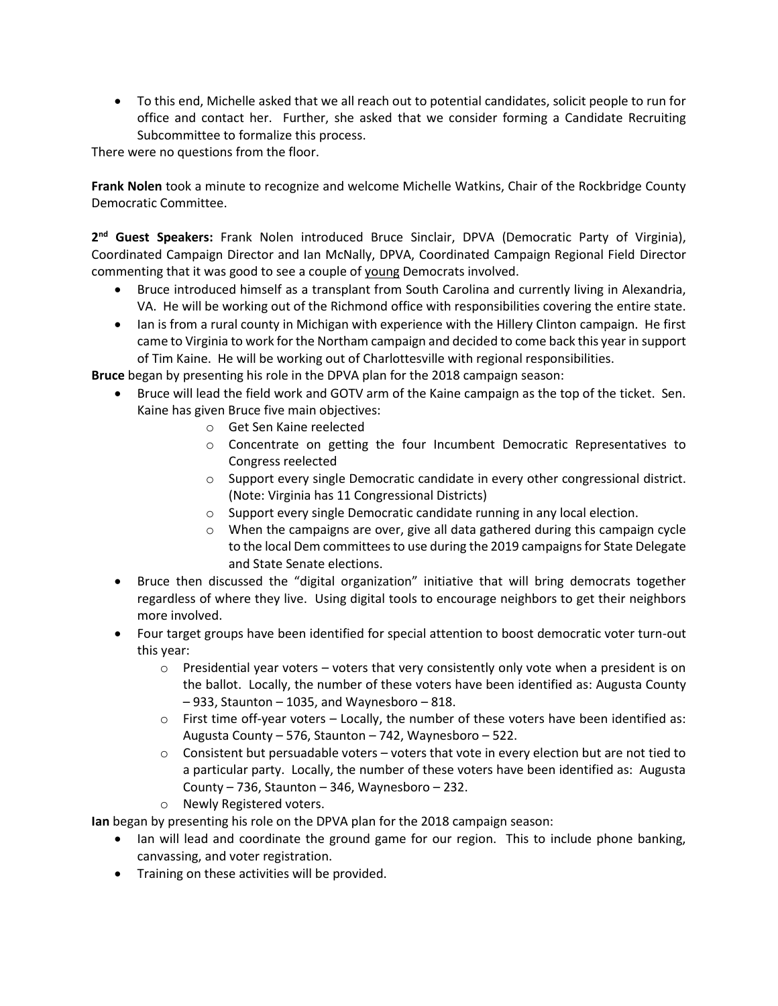• To this end, Michelle asked that we all reach out to potential candidates, solicit people to run for office and contact her. Further, she asked that we consider forming a Candidate Recruiting Subcommittee to formalize this process.

There were no questions from the floor.

**Frank Nolen** took a minute to recognize and welcome Michelle Watkins, Chair of the Rockbridge County Democratic Committee.

**2 nd Guest Speakers:** Frank Nolen introduced Bruce Sinclair, DPVA (Democratic Party of Virginia), Coordinated Campaign Director and Ian McNally, DPVA, Coordinated Campaign Regional Field Director commenting that it was good to see a couple of young Democrats involved.

- Bruce introduced himself as a transplant from South Carolina and currently living in Alexandria, VA. He will be working out of the Richmond office with responsibilities covering the entire state.
- Ian is from a rural county in Michigan with experience with the Hillery Clinton campaign. He first came to Virginia to work for the Northam campaign and decided to come back this year in support of Tim Kaine. He will be working out of Charlottesville with regional responsibilities.

**Bruce** began by presenting his role in the DPVA plan for the 2018 campaign season:

- Bruce will lead the field work and GOTV arm of the Kaine campaign as the top of the ticket. Sen. Kaine has given Bruce five main objectives:
	- o Get Sen Kaine reelected
	- o Concentrate on getting the four Incumbent Democratic Representatives to Congress reelected
	- o Support every single Democratic candidate in every other congressional district. (Note: Virginia has 11 Congressional Districts)
	- o Support every single Democratic candidate running in any local election.
	- $\circ$  When the campaigns are over, give all data gathered during this campaign cycle to the local Dem committees to use during the 2019 campaigns for State Delegate and State Senate elections.
- Bruce then discussed the "digital organization" initiative that will bring democrats together regardless of where they live. Using digital tools to encourage neighbors to get their neighbors more involved.
- Four target groups have been identified for special attention to boost democratic voter turn-out this year:
	- $\circ$  Presidential year voters voters that very consistently only vote when a president is on the ballot. Locally, the number of these voters have been identified as: Augusta County – 933, Staunton – 1035, and Waynesboro – 818.
	- $\circ$  First time off-year voters Locally, the number of these voters have been identified as: Augusta County – 576, Staunton – 742, Waynesboro – 522.
	- $\circ$  Consistent but persuadable voters voters that vote in every election but are not tied to a particular party. Locally, the number of these voters have been identified as: Augusta County  $-736$ , Staunton  $-346$ , Waynesboro  $-232$ .
	- o Newly Registered voters.

**Ian** began by presenting his role on the DPVA plan for the 2018 campaign season:

- Ian will lead and coordinate the ground game for our region. This to include phone banking, canvassing, and voter registration.
- Training on these activities will be provided.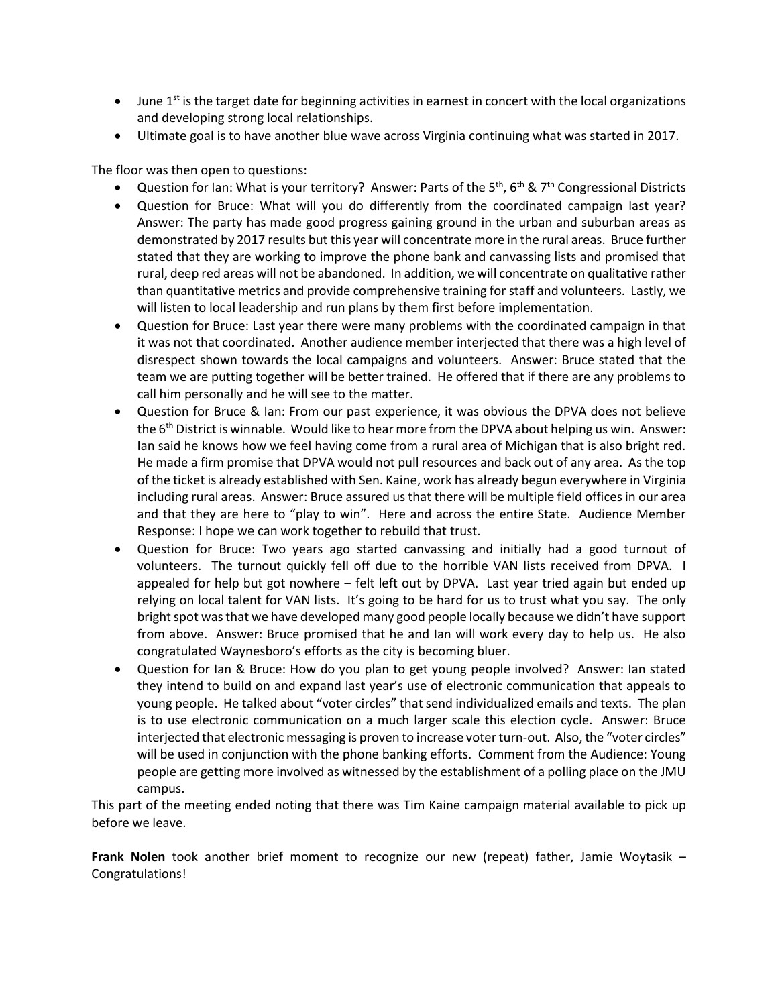- $\bullet$  June 1<sup>st</sup> is the target date for beginning activities in earnest in concert with the local organizations and developing strong local relationships.
- Ultimate goal is to have another blue wave across Virginia continuing what was started in 2017.

The floor was then open to questions:

- Question for Ian: What is your territory? Answer: Parts of the  $5<sup>th</sup>$ ,  $6<sup>th</sup>$  & 7<sup>th</sup> Congressional Districts
- Question for Bruce: What will you do differently from the coordinated campaign last year? Answer: The party has made good progress gaining ground in the urban and suburban areas as demonstrated by 2017 results but this year will concentrate more in the rural areas. Bruce further stated that they are working to improve the phone bank and canvassing lists and promised that rural, deep red areas will not be abandoned. In addition, we will concentrate on qualitative rather than quantitative metrics and provide comprehensive training for staff and volunteers. Lastly, we will listen to local leadership and run plans by them first before implementation.
- Question for Bruce: Last year there were many problems with the coordinated campaign in that it was not that coordinated. Another audience member interjected that there was a high level of disrespect shown towards the local campaigns and volunteers. Answer: Bruce stated that the team we are putting together will be better trained. He offered that if there are any problems to call him personally and he will see to the matter.
- Question for Bruce & Ian: From our past experience, it was obvious the DPVA does not believe the 6<sup>th</sup> District is winnable. Would like to hear more from the DPVA about helping us win. Answer: Ian said he knows how we feel having come from a rural area of Michigan that is also bright red. He made a firm promise that DPVA would not pull resources and back out of any area. As the top of the ticket is already established with Sen. Kaine, work has already begun everywhere in Virginia including rural areas. Answer: Bruce assured us that there will be multiple field offices in our area and that they are here to "play to win". Here and across the entire State. Audience Member Response: I hope we can work together to rebuild that trust.
- Question for Bruce: Two years ago started canvassing and initially had a good turnout of volunteers. The turnout quickly fell off due to the horrible VAN lists received from DPVA. I appealed for help but got nowhere – felt left out by DPVA. Last year tried again but ended up relying on local talent for VAN lists. It's going to be hard for us to trust what you say. The only bright spot was that we have developed many good people locally because we didn't have support from above. Answer: Bruce promised that he and Ian will work every day to help us. He also congratulated Waynesboro's efforts as the city is becoming bluer.
- Question for Ian & Bruce: How do you plan to get young people involved? Answer: Ian stated they intend to build on and expand last year's use of electronic communication that appeals to young people. He talked about "voter circles" that send individualized emails and texts. The plan is to use electronic communication on a much larger scale this election cycle. Answer: Bruce interjected that electronic messaging is proven to increase voter turn-out. Also, the "voter circles" will be used in conjunction with the phone banking efforts. Comment from the Audience: Young people are getting more involved as witnessed by the establishment of a polling place on the JMU campus.

This part of the meeting ended noting that there was Tim Kaine campaign material available to pick up before we leave.

**Frank Nolen** took another brief moment to recognize our new (repeat) father, Jamie Woytasik – Congratulations!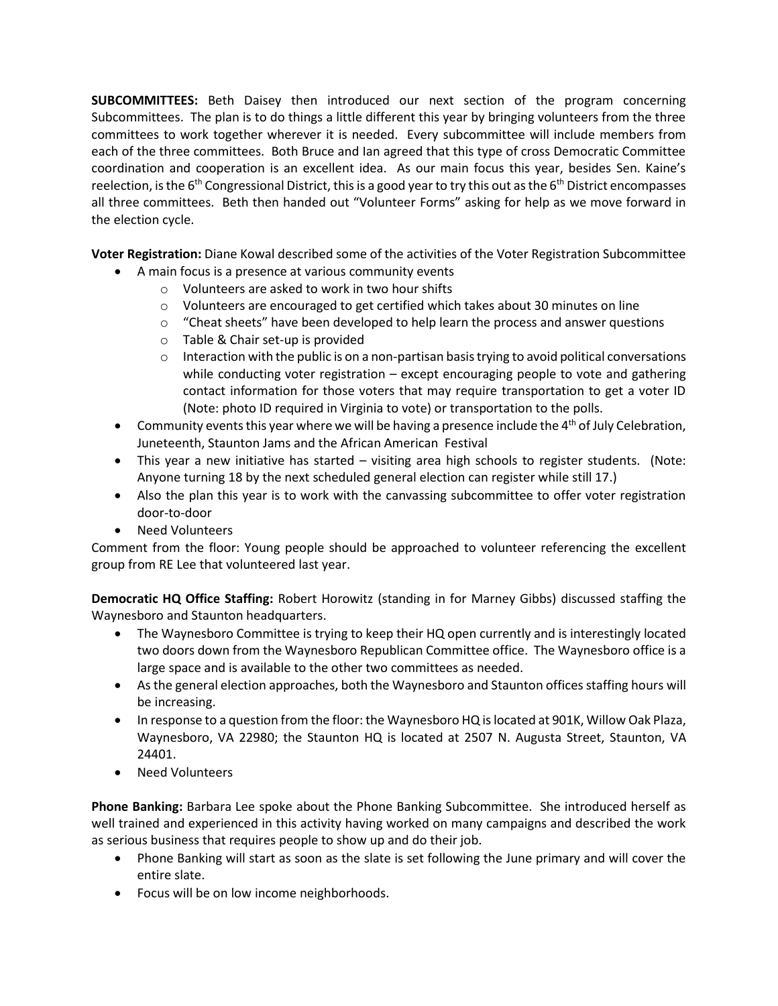**SUBCOMMITTEES:** Beth Daisey then introduced our next section of the program concerning Subcommittees. The plan is to do things a little different this year by bringing volunteers from the three committees to work together wherever it is needed. Every subcommittee will include members from each of the three committees. Both Bruce and Ian agreed that this type of cross Democratic Committee coordination and cooperation is an excellent idea. As our main focus this year, besides Sen. Kaine's reelection, is the  $6<sup>th</sup>$  Congressional District, this is a good year to try this out as the  $6<sup>th</sup>$  District encompasses all three committees. Beth then handed out "Volunteer Forms" asking for help as we move forward in the election cycle.

**Voter Registration:** Diane Kowal described some of the activities of the Voter Registration Subcommittee

- A main focus is a presence at various community events
	- o Volunteers are asked to work in two hour shifts
	- $\circ$  Volunteers are encouraged to get certified which takes about 30 minutes on line
	- $\circ$  "Cheat sheets" have been developed to help learn the process and answer questions
	- o Table & Chair set-up is provided
	- $\circ$  Interaction with the public is on a non-partisan basis trying to avoid political conversations while conducting voter registration – except encouraging people to vote and gathering contact information for those voters that may require transportation to get a voter ID (Note: photo ID required in Virginia to vote) or transportation to the polls.
- Community events this year where we will be having a presence include the 4<sup>th</sup> of July Celebration, Juneteenth, Staunton Jams and the African American Festival
- This year a new initiative has started visiting area high schools to register students. (Note: Anyone turning 18 by the next scheduled general election can register while still 17.)
- Also the plan this year is to work with the canvassing subcommittee to offer voter registration door-to-door
- Need Volunteers

Comment from the floor: Young people should be approached to volunteer referencing the excellent group from RE Lee that volunteered last year.

**Democratic HQ Office Staffing:** Robert Horowitz (standing in for Marney Gibbs) discussed staffing the Waynesboro and Staunton headquarters.

- The Waynesboro Committee is trying to keep their HQ open currently and is interestingly located two doors down from the Waynesboro Republican Committee office. The Waynesboro office is a large space and is available to the other two committees as needed.
- As the general election approaches, both the Waynesboro and Staunton offices staffing hours will be increasing.
- In response to a question from the floor: the Waynesboro HQ is located at 901K, Willow Oak Plaza, Waynesboro, VA 22980; the Staunton HQ is located at 2507 N. Augusta Street, Staunton, VA 24401.
- Need Volunteers

**Phone Banking:** Barbara Lee spoke about the Phone Banking Subcommittee. She introduced herself as well trained and experienced in this activity having worked on many campaigns and described the work as serious business that requires people to show up and do their job.

- Phone Banking will start as soon as the slate is set following the June primary and will cover the entire slate.
- Focus will be on low income neighborhoods.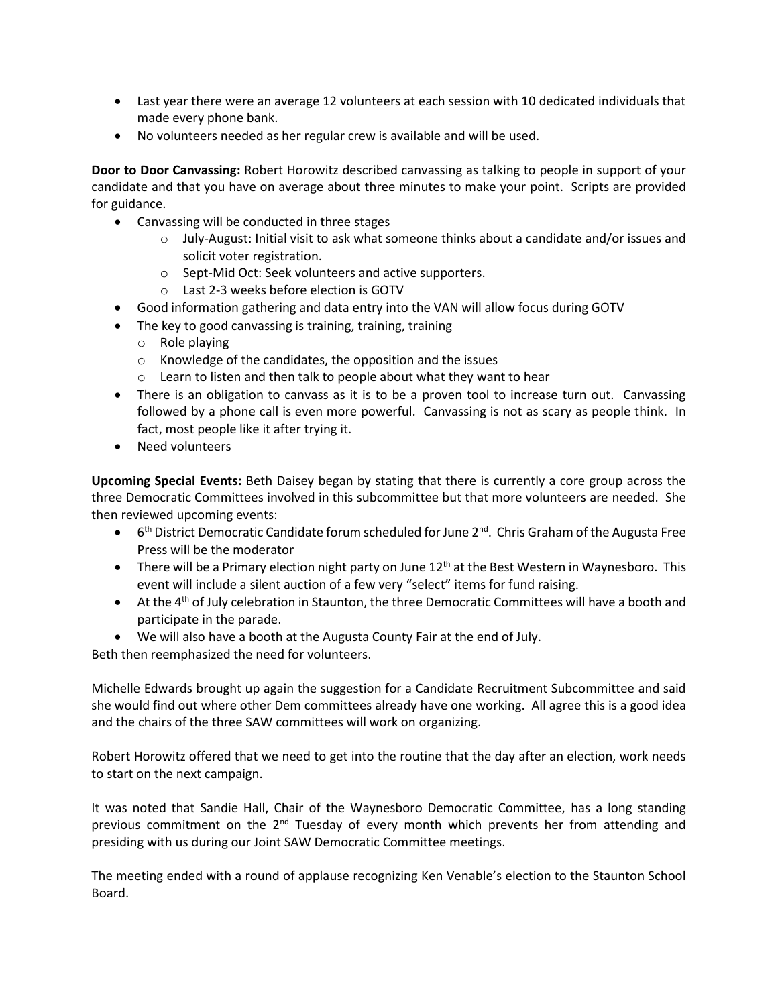- Last year there were an average 12 volunteers at each session with 10 dedicated individuals that made every phone bank.
- No volunteers needed as her regular crew is available and will be used.

**Door to Door Canvassing:** Robert Horowitz described canvassing as talking to people in support of your candidate and that you have on average about three minutes to make your point. Scripts are provided for guidance.

- Canvassing will be conducted in three stages
	- $\circ$  July-August: Initial visit to ask what someone thinks about a candidate and/or issues and solicit voter registration.
	- o Sept-Mid Oct: Seek volunteers and active supporters.
	- o Last 2-3 weeks before election is GOTV
- Good information gathering and data entry into the VAN will allow focus during GOTV
- The key to good canvassing is training, training, training
	- o Role playing
	- o Knowledge of the candidates, the opposition and the issues
	- o Learn to listen and then talk to people about what they want to hear
- There is an obligation to canvass as it is to be a proven tool to increase turn out. Canvassing followed by a phone call is even more powerful. Canvassing is not as scary as people think. In fact, most people like it after trying it.
- Need volunteers

**Upcoming Special Events:** Beth Daisey began by stating that there is currently a core group across the three Democratic Committees involved in this subcommittee but that more volunteers are needed. She then reviewed upcoming events:

- $\bullet$  6<sup>th</sup> District Democratic Candidate forum scheduled for June 2<sup>nd</sup>. Chris Graham of the Augusta Free Press will be the moderator
- There will be a Primary election night party on June  $12<sup>th</sup>$  at the Best Western in Waynesboro. This event will include a silent auction of a few very "select" items for fund raising.
- At the 4<sup>th</sup> of July celebration in Staunton, the three Democratic Committees will have a booth and participate in the parade.
- We will also have a booth at the Augusta County Fair at the end of July.

Beth then reemphasized the need for volunteers.

Michelle Edwards brought up again the suggestion for a Candidate Recruitment Subcommittee and said she would find out where other Dem committees already have one working. All agree this is a good idea and the chairs of the three SAW committees will work on organizing.

Robert Horowitz offered that we need to get into the routine that the day after an election, work needs to start on the next campaign.

It was noted that Sandie Hall, Chair of the Waynesboro Democratic Committee, has a long standing previous commitment on the 2<sup>nd</sup> Tuesday of every month which prevents her from attending and presiding with us during our Joint SAW Democratic Committee meetings.

The meeting ended with a round of applause recognizing Ken Venable's election to the Staunton School Board.